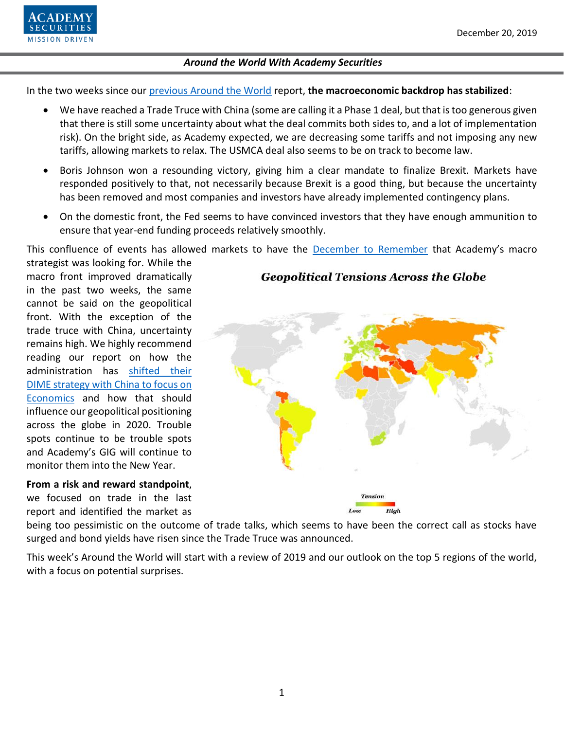

In the two weeks since our [previous Around the World](https://www.academysecurities.com/wordpress/wp-content/uploads/2019/12/Around-the-World-with-Academy-Securities-12.6.19.pdf) report, **the macroeconomic backdrop has stabilized**:

- We have reached a Trade Truce with China (some are calling it a Phase 1 deal, but that is too generous given that there is still some uncertainty about what the deal commits both sides to, and a lot of implementation risk). On the bright side, as Academy expected, we are decreasing some tariffs and not imposing any new tariffs, allowing markets to relax. The USMCA deal also seems to be on track to become law.
- Boris Johnson won a resounding victory, giving him a clear mandate to finalize Brexit. Markets have responded positively to that, not necessarily because Brexit is a good thing, but because the uncertainty has been removed and most companies and investors have already implemented contingency plans.
- On the domestic front, the Fed seems to have convinced investors that they have enough ammunition to ensure that year-end funding proceeds relatively smoothly.

This confluence of events has allowed markets to have the [December to Remember](https://www.academysecurities.com/wordpress/wp-content/uploads/2019/12/A-December-to-Remember_vBL-2.pdf) that Academy's macro

strategist was looking for. While the macro front improved dramatically in the past two weeks, the same cannot be said on the geopolitical front. With the exception of the trade truce with China, uncertainty remains high. We highly recommend reading our report on how the administration has [shifted their](https://www.academysecurities.com/wordpress/wp-content/uploads/2019/12/A-D.I.M.E.-Framework-for-China-Trade-Strategic-Competition.pdf)  [DIME strategy with China to focus on](https://www.academysecurities.com/wordpress/wp-content/uploads/2019/12/A-D.I.M.E.-Framework-for-China-Trade-Strategic-Competition.pdf)  [Economics](https://www.academysecurities.com/wordpress/wp-content/uploads/2019/12/A-D.I.M.E.-Framework-for-China-Trade-Strategic-Competition.pdf) and how that should influence our geopolitical positioning across the globe in 2020. Trouble spots continue to be trouble spots and Academy's GIG will continue to monitor them into the New Year.

**From a risk and reward standpoint**, we focused on trade in the last report and identified the market as

# **Geopolitical Tensions Across the Globe**



being too pessimistic on the outcome of trade talks, which seems to have been the correct call as stocks have surged and bond yields have risen since the Trade Truce was announced.

This week's Around the World will start with a review of 2019 and our outlook on the top 5 regions of the world, with a focus on potential surprises.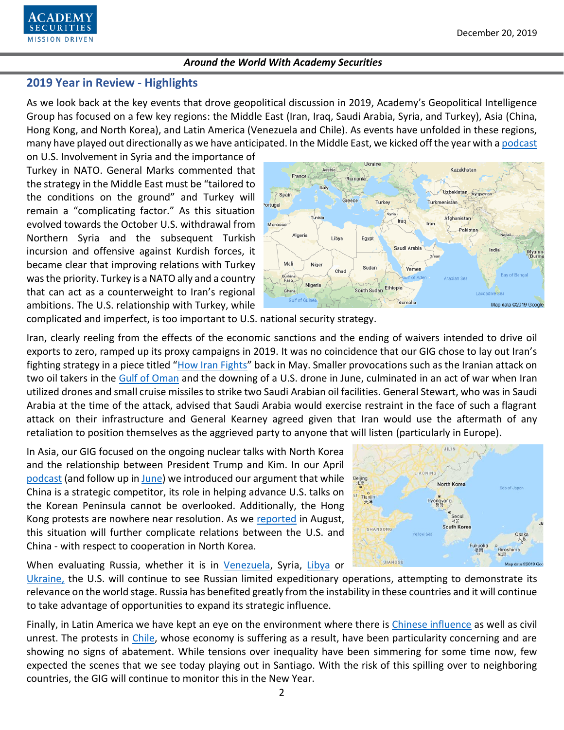

## **2019 Year in Review - Highlights**

As we look back at the key events that drove geopolitical discussion in 2019, Academy's Geopolitical Intelligence Group has focused on a few key regions: the Middle East (Iran, Iraq, Saudi Arabia, Syria, and Turkey), Asia (China, Hong Kong, and North Korea), and Latin America (Venezuela and Chile). As events have unfolded in these regions, many have played out directionally as we have anticipated. In the Middle East, we kicked off the year with [a podcast](https://www.academysecurities.com/vol-twenty-leaving-syria-and-government-shutdown/)

on U.S. Involvement in Syria and the importance of Turkey in NATO. General Marks commented that the strategy in the Middle East must be "tailored to the conditions on the ground" and Turkey will remain a "complicating factor." As this situation evolved towards the October U.S. withdrawal from Northern Syria and the subsequent Turkish incursion and offensive against Kurdish forces, it became clear that improving relations with Turkey was the priority. Turkey is a NATO ally and a country that can act as a counterweight to Iran's regional ambitions. The U.S. relationship with Turkey, while



complicated and imperfect, is too important to U.S. national security strategy.

Iran, clearly reeling from the effects of the economic sanctions and the ending of waivers intended to drive oil exports to zero, ramped up its proxy campaigns in 2019. It was no coincidence that our GIG chose to lay out Iran's fighting strategy in a piece titled "[How Iran Fights](https://www.academysecurities.com/iran-fights/)" back in May. Smaller provocations such as the Iranian attack on two oil takers in the [Gulf of Oman](https://www.academysecurities.com/iran-update-tankers-attached-gulf-oman/) and the downing of a U.S. drone in June, culminated in an act of war when Iran utilized drones and small cruise missiles to strike two Saudi Arabian oil facilities. General Stewart, who was in Saudi Arabia at the time of the attack, advised that Saudi Arabia would exercise restraint in the face of such a flagrant attack on their infrastructure and General Kearney agreed given that Iran would use the aftermath of any retaliation to position themselves as the aggrieved party to anyone that will listen (particularly in Europe).

In Asia, our GIG focused on the ongoing nuclear talks with North Korea and the relationship between President Trump and Kim. In our April [podcast](https://www.academysecurities.com/vol-24-2019-quarter-outlook/) (and follow up in [June\)](https://www.academysecurities.com/vol-26-us-china-relations-age-of-strategic-competition/) we introduced our argument that while China is a strategic competitor, its role in helping advance U.S. talks on the Korean Peninsula cannot be overlooked. Additionally, the Hong Kong protests are nowhere near resolution. As we [reported](https://www.academysecurities.com/vol-29-impact-protests-hong-kong/) in August, this situation will further complicate relations between the U.S. and China - with respect to cooperation in North Korea.

When evaluating Russia, whether it is in [Venezuela,](https://www.academysecurities.com/wordpress/wp-content/uploads/2019/02/Geopolitical-Flashpoints-The-Macroeconomic-Impact-of-the-Geostrategic-Landscape-Vol-21-1.pdf) Syria, [Libya](https://www.academysecurities.com/wordpress/wp-content/uploads/2019/11/Around-the-World-with-Academy-Securities-Nov-15.pdf) or

[Ukraine,](https://www.academysecurities.com/wordpress/wp-content/uploads/2019/11/Around-the-World-with-Academy-Securities.pdf) the U.S. will continue to see Russian limited expeditionary operations, attempting to demonstrate its relevance on the world stage. Russia has benefited greatly from the instability in these countries and it will continue to take advantage of opportunities to expand its strategic influence.

Finally, in Latin America we have kept an eye on the environment where there is [Chinese influence](https://www.academysecurities.com/wordpress/wp-content/uploads/2019/11/Around-the-World-with-Academy-Securities.pdf) as well as civil unrest. The protests in [Chile,](https://www.academysecurities.com/latin-america-update/) whose economy is suffering as a result, have been particularity concerning and are showing no signs of abatement. While tensions over inequality have been simmering for some time now, few expected the scenes that we see today playing out in Santiago. With the risk of this spilling over to neighboring countries, the GIG will continue to monitor this in the New Year.

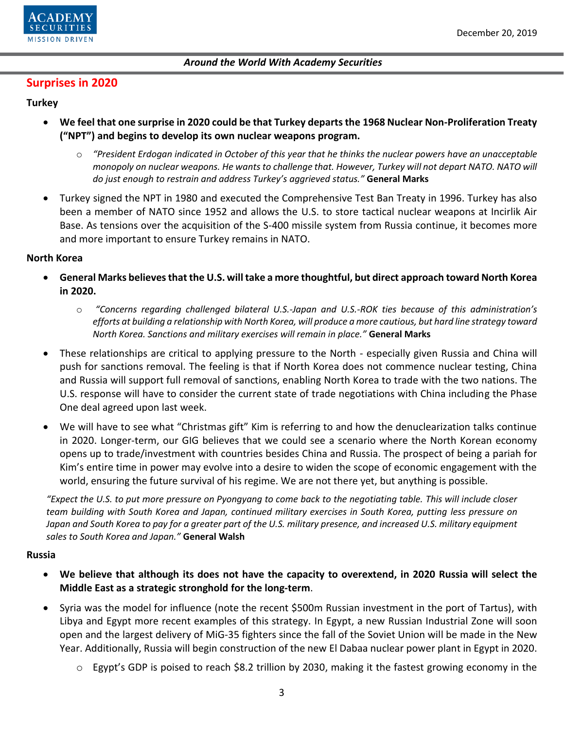

## **Surprises in 2020**

### **Turkey**

- **We feel that one surprise in 2020 could be that Turkey departs the 1968 Nuclear Non-Proliferation Treaty ("NPT") and begins to develop its own nuclear weapons program.**
	- o *"President Erdogan indicated in October of this year that he thinks the nuclear powers have an unacceptable monopoly on nuclear weapons. He wants to challenge that. However, Turkey will not depart NATO. NATO will do just enough to restrain and address Turkey's aggrieved status."* **General Marks**
- Turkey signed the NPT in 1980 and executed the Comprehensive Test Ban Treaty in 1996. Turkey has also been a member of NATO since 1952 and allows the U.S. to store tactical nuclear weapons at Incirlik Air Base. As tensions over the acquisition of the S-400 missile system from Russia continue, it becomes more and more important to ensure Turkey remains in NATO.

#### **North Korea**

- **General Marks believes that the U.S. will take a more thoughtful, but direct approach toward North Korea in 2020.**
	- o *"Concerns regarding challenged bilateral U.S.-Japan and U.S.-ROK ties because of this administration's efforts at building a relationship with North Korea, will produce a more cautious, but hard line strategy toward North Korea. Sanctions and military exercises will remain in place."* **General Marks**
- These relationships are critical to applying pressure to the North especially given Russia and China will push for sanctions removal. The feeling is that if North Korea does not commence nuclear testing, China and Russia will support full removal of sanctions, enabling North Korea to trade with the two nations. The U.S. response will have to consider the current state of trade negotiations with China including the Phase One deal agreed upon last week.
- We will have to see what "Christmas gift" Kim is referring to and how the denuclearization talks continue in 2020. Longer-term, our GIG believes that we could see a scenario where the North Korean economy opens up to trade/investment with countries besides China and Russia. The prospect of being a pariah for Kim's entire time in power may evolve into a desire to widen the scope of economic engagement with the world, ensuring the future survival of his regime. We are not there yet, but anything is possible.

*"Expect the U.S. to put more pressure on Pyongyang to come back to the negotiating table. This will include closer team building with South Korea and Japan, continued military exercises in South Korea, putting less pressure on Japan and South Korea to pay for a greater part of the U.S. military presence, and increased U.S. military equipment sales to South Korea and Japan."* **General Walsh**

#### **Russia**

- **We believe that although its does not have the capacity to overextend, in 2020 Russia will select the Middle East as a strategic stronghold for the long-term**.
- Syria was the model for influence (note the recent \$500m Russian investment in the port of Tartus), with Libya and Egypt more recent examples of this strategy. In Egypt, a new Russian Industrial Zone will soon open and the largest delivery of MiG-35 fighters since the fall of the Soviet Union will be made in the New Year. Additionally, Russia will begin construction of the new El Dabaa nuclear power plant in Egypt in 2020.
	- $\circ$  Egypt's GDP is poised to reach \$8.2 trillion by 2030, making it the fastest growing economy in the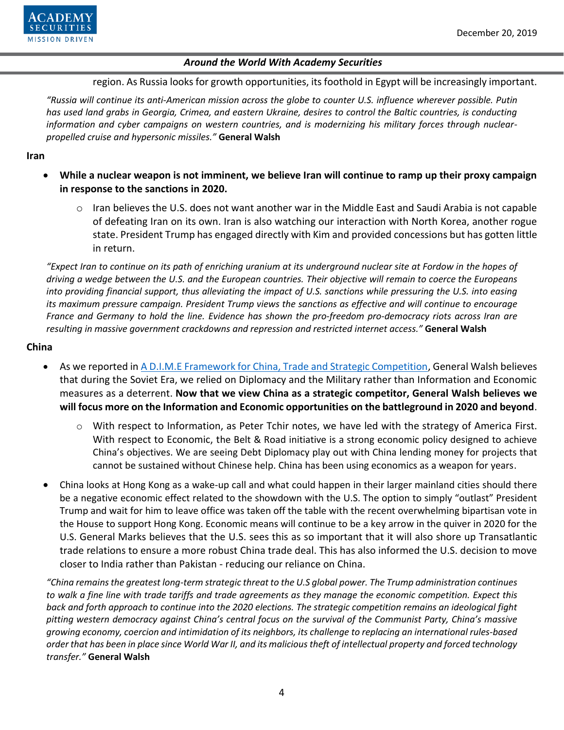

region. As Russia looks for growth opportunities, its foothold in Egypt will be increasingly important.

*"Russia will continue its anti-American mission across the globe to counter U.S. influence wherever possible. Putin has used land grabs in Georgia, Crimea, and eastern Ukraine, desires to control the Baltic countries, is conducting information and cyber campaigns on western countries, and is modernizing his military forces through nuclearpropelled cruise and hypersonic missiles."* **General Walsh**

**Iran** 

- **While a nuclear weapon is not imminent, we believe Iran will continue to ramp up their proxy campaign in response to the sanctions in 2020.**
	- o Iran believes the U.S. does not want another war in the Middle East and Saudi Arabia is not capable of defeating Iran on its own. Iran is also watching our interaction with North Korea, another rogue state. President Trump has engaged directly with Kim and provided concessions but has gotten little in return.

*"Expect Iran to continue on its path of enriching uranium at its underground nuclear site at Fordow in the hopes of driving a wedge between the U.S. and the European countries. Their objective will remain to coerce the Europeans into providing financial support, thus alleviating the impact of U.S. sanctions while pressuring the U.S. into easing its maximum pressure campaign. President Trump views the sanctions as effective and will continue to encourage France and Germany to hold the line. Evidence has shown the pro-freedom pro-democracy riots across Iran are resulting in massive government crackdowns and repression and restricted internet access."* **General Walsh**

#### **China**

- As we reported in [A D.I.M.E Framework for China, Trade and Strategic Competition,](https://www.academysecurities.com/wordpress/wp-content/uploads/2019/12/A-D.I.M.E.-Framework-for-China-Trade-Strategic-Competition.pdf) General Walsh believes that during the Soviet Era, we relied on Diplomacy and the Military rather than Information and Economic measures as a deterrent. **Now that we view China as a strategic competitor, General Walsh believes we will focus more on the Information and Economic opportunities on the battleground in 2020 and beyond**.
	- $\circ$  With respect to Information, as Peter Tchir notes, we have led with the strategy of America First. With respect to Economic, the Belt & Road initiative is a strong economic policy designed to achieve China's objectives. We are seeing Debt Diplomacy play out with China lending money for projects that cannot be sustained without Chinese help. China has been using economics as a weapon for years.
- China looks at Hong Kong as a wake-up call and what could happen in their larger mainland cities should there be a negative economic effect related to the showdown with the U.S. The option to simply "outlast" President Trump and wait for him to leave office was taken off the table with the recent overwhelming bipartisan vote in the House to support Hong Kong. Economic means will continue to be a key arrow in the quiver in 2020 for the U.S. General Marks believes that the U.S. sees this as so important that it will also shore up Transatlantic trade relations to ensure a more robust China trade deal. This has also informed the U.S. decision to move closer to India rather than Pakistan - reducing our reliance on China.

*"China remains the greatest long-term strategic threat to the U.S global power. The Trump administration continues to walk a fine line with trade tariffs and trade agreements as they manage the economic competition. Expect this back and forth approach to continue into the 2020 elections. The strategic competition remains an ideological fight pitting western democracy against China's central focus on the survival of the Communist Party, China's massive growing economy, coercion and intimidation of its neighbors, its challenge to replacing an international rules-based order that has been in place since World War II, and its malicious theft of intellectual property and forced technology transfer."* **General Walsh**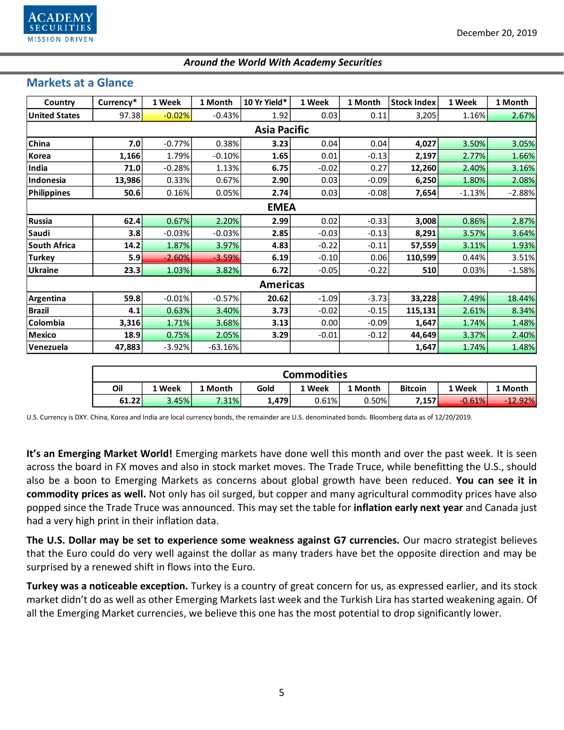

# **Markets at a Glance**

| Country              | Currency* | 1 Week   | 1 Month   | 10 Yr Yield* | 1 Week  | 1 Month | <b>Stock Index</b> | 1 Week   | 1 Month  |  |  |  |  |
|----------------------|-----------|----------|-----------|--------------|---------|---------|--------------------|----------|----------|--|--|--|--|
| <b>United States</b> | 97.38     | $-0.02%$ | $-0.43%$  | 1.92         | 0.03    | 0.11    | 3,205              | 1.16%    | 2.67%    |  |  |  |  |
| <b>Asia Pacific</b>  |           |          |           |              |         |         |                    |          |          |  |  |  |  |
| China                | 7.0       | $-0.77%$ | 0.38%     | 3.23         | 0.04    | 0.04    | 4,027              | 3.50%    | 3.05%    |  |  |  |  |
| Korea                | 1,166     | 1.79%    | $-0.10%$  | 1.65         | 0.01    | $-0.13$ | 2,197              | 2.77%    | 1.66%    |  |  |  |  |
| India                | 71.0      | $-0.28%$ | 1.13%     | 6.75         | $-0.02$ | 0.27    | 12,260             | 2.40%    | 3.16%    |  |  |  |  |
| Indonesia            | 13,986    | 0.33%    | 0.67%     | 2.90         | 0.03    | $-0.09$ | 6,250              | 1.80%    | 2.08%    |  |  |  |  |
| <b>Philippines</b>   | 50.6      | 0.16%    | 0.05%     | 2.74         | 0.03    | $-0.08$ | 7,654              | $-1.13%$ | $-2.88%$ |  |  |  |  |
| <b>EMEA</b>          |           |          |           |              |         |         |                    |          |          |  |  |  |  |
| Russia               | 62.4      | 0.67%    | 2.20%     | 2.99         | 0.02    | $-0.33$ | 3,008              | 0.86%    | 2.87%    |  |  |  |  |
| Saudi                | 3.8       | $-0.03%$ | $-0.03%$  | 2.85         | $-0.03$ | $-0.13$ | 8,291              | 3.57%    | 3.64%    |  |  |  |  |
| <b>South Africa</b>  | 14.2      | 1.87%    | 3.97%     | 4.83         | $-0.22$ | $-0.11$ | 57,559             | 3.11%    | 1.93%    |  |  |  |  |
| <b>Turkey</b>        | 5.9       | $-2.60%$ | $-3.59%$  | 6.19         | $-0.10$ | 0.06    | 110,599            | 0.44%    | 3.51%    |  |  |  |  |
| <b>Ukraine</b>       | 23.3      | 1.03%    | 3.82%     | 6.72         | $-0.05$ | $-0.22$ | 510                | 0.03%    | $-1.58%$ |  |  |  |  |
| <b>Americas</b>      |           |          |           |              |         |         |                    |          |          |  |  |  |  |
| Argentina            | 59.8      | $-0.01%$ | $-0.57%$  | 20.62        | $-1.09$ | $-3.73$ | 33,228             | 7.49%    | 18.44%   |  |  |  |  |
| <b>Brazil</b>        | 4.1       | 0.63%    | 3.40%     | 3.73         | $-0.02$ | $-0.15$ | 115,131            | 2.61%    | 8.34%    |  |  |  |  |
| Colombia             | 3,316     | 1.71%    | 3.68%     | 3.13         | 0.00    | $-0.09$ | 1,647              | 1.74%    | 1.48%    |  |  |  |  |
| <b>Mexico</b>        | 18.9      | 0.75%    | 2.05%     | 3.29         | $-0.01$ | $-0.12$ | 44,649             | 3.37%    | 2.40%    |  |  |  |  |
| Venezuela            | 47,883    | $-3.92%$ | $-63.16%$ |              |         |         | 1,647              | 1.74%    | 1.48%    |  |  |  |  |

| <b>Commodities</b> |       |         |       |        |         |                |          |           |  |  |  |
|--------------------|-------|---------|-------|--------|---------|----------------|----------|-----------|--|--|--|
| Oil                | Week  | 1 Month | Gold  | . Week | 1 Month | <b>Bitcoin</b> | 1 Week   | 1 Month   |  |  |  |
| 61.22              | 3.45% | 7.31%   | 1,479 | 0.61%  | 0.50%   | 7,157          | $-0.61%$ | $-12.92%$ |  |  |  |

U.S. Currency is DXY. China, Korea and India are local currency bonds, the remainder are U.S. denominated bonds. Bloomberg data as of 12/20/2019.

**It's an Emerging Market World!** Emerging markets have done well this month and over the past week. It is seen across the board in FX moves and also in stock market moves. The Trade Truce, while benefitting the U.S., should also be a boon to Emerging Markets as concerns about global growth have been reduced. **You can see it in commodity prices as well.** Not only has oil surged, but copper and many agricultural commodity prices have also popped since the Trade Truce was announced. This may set the table for **inflation early next year** and Canada just had a very high print in their inflation data.

**The U.S. Dollar may be set to experience some weakness against G7 currencies.** Our macro strategist believes that the Euro could do very well against the dollar as many traders have bet the opposite direction and may be surprised by a renewed shift in flows into the Euro.

**Turkey was a noticeable exception.** Turkey is a country of great concern for us, as expressed earlier, and its stock market didn't do as well as other Emerging Markets last week and the Turkish Lira has started weakening again. Of all the Emerging Market currencies, we believe this one has the most potential to drop significantly lower.